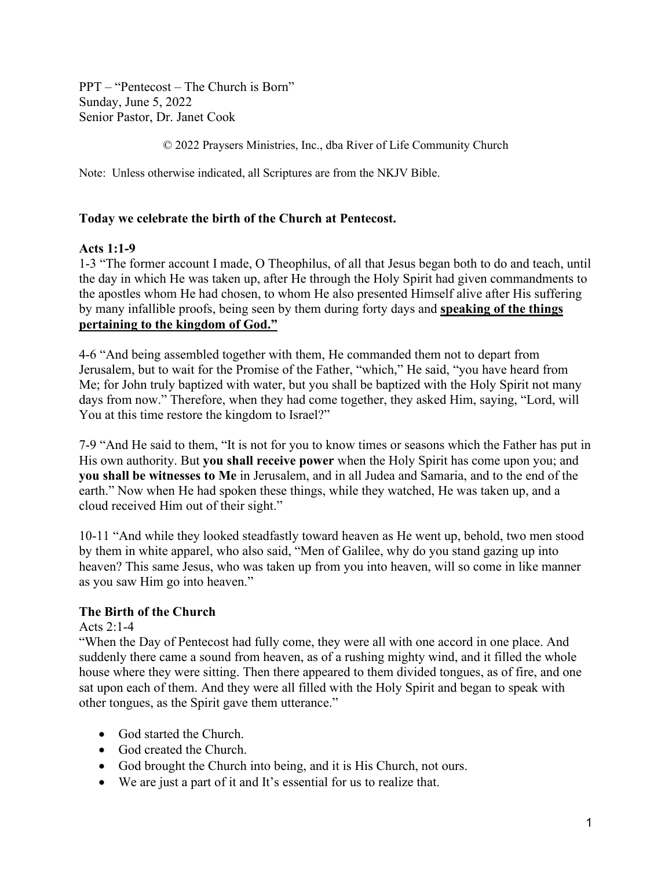PPT – "Pentecost – The Church is Born" Sunday, June 5, 2022 Senior Pastor, Dr. Janet Cook

© 2022 Praysers Ministries, Inc., dba River of Life Community Church

Note: Unless otherwise indicated, all Scriptures are from the NKJV Bible.

### **Today we celebrate the birth of the Church at Pentecost.**

#### **Acts 1:1-9**

1-3 "The former account I made, O Theophilus, of all that Jesus began both to do and teach, until the day in which He was taken up, after He through the Holy Spirit had given commandments to the apostles whom He had chosen, to whom He also presented Himself alive after His suffering by many infallible proofs, being seen by them during forty days and **speaking of the things pertaining to the kingdom of God."**

4-6 "And being assembled together with them, He commanded them not to depart from Jerusalem, but to wait for the Promise of the Father, "which," He said, "you have heard from Me; for John truly baptized with water, but you shall be baptized with the Holy Spirit not many days from now." Therefore, when they had come together, they asked Him, saying, "Lord, will You at this time restore the kingdom to Israel?"

7-9 "And He said to them, "It is not for you to know times or seasons which the Father has put in His own authority. But **you shall receive power** when the Holy Spirit has come upon you; and **you shall be witnesses to Me** in Jerusalem, and in all Judea and Samaria, and to the end of the earth." Now when He had spoken these things, while they watched, He was taken up, and a cloud received Him out of their sight."

10-11 "And while they looked steadfastly toward heaven as He went up, behold, two men stood by them in white apparel, who also said, "Men of Galilee, why do you stand gazing up into heaven? This same Jesus, who was taken up from you into heaven, will so come in like manner as you saw Him go into heaven."

# **The Birth of the Church**

Acts 2:1-4

"When the Day of Pentecost had fully come, they were all with one accord in one place. And suddenly there came a sound from heaven, as of a rushing mighty wind, and it filled the whole house where they were sitting. Then there appeared to them divided tongues, as of fire, and one sat upon each of them. And they were all filled with the Holy Spirit and began to speak with other tongues, as the Spirit gave them utterance."

- God started the Church.
- God created the Church.
- God brought the Church into being, and it is His Church, not ours.
- We are just a part of it and It's essential for us to realize that.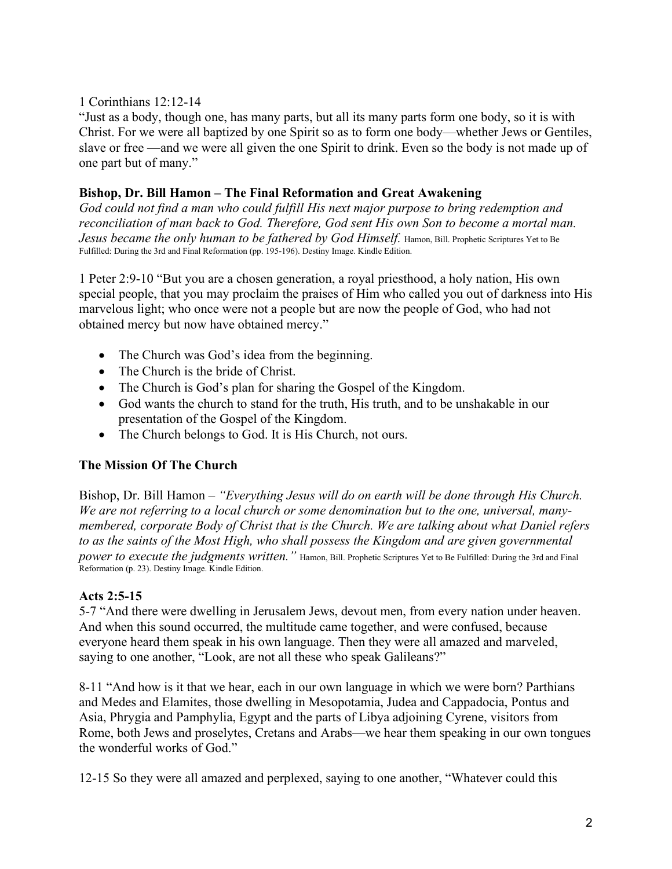## 1 Corinthians 12:12-14

"Just as a body, though one, has many parts, but all its many parts form one body, so it is with Christ. For we were all baptized by one Spirit so as to form one body—whether Jews or Gentiles, slave or free —and we were all given the one Spirit to drink. Even so the body is not made up of one part but of many."

### **Bishop, Dr. Bill Hamon – The Final Reformation and Great Awakening**

*God could not find a man who could fulfill His next major purpose to bring redemption and reconciliation of man back to God. Therefore, God sent His own Son to become a mortal man.*  Jesus became the only human to be fathered by God Himself. Hamon, Bill. Prophetic Scriptures Yet to Be Fulfilled: During the 3rd and Final Reformation (pp. 195-196). Destiny Image. Kindle Edition.

1 Peter 2:9-10 "But you are a chosen generation, a royal priesthood, a holy nation, His own special people, that you may proclaim the praises of Him who called you out of darkness into His marvelous light; who once were not a people but are now the people of God, who had not obtained mercy but now have obtained mercy."

- The Church was God's idea from the beginning.
- The Church is the bride of Christ.
- The Church is God's plan for sharing the Gospel of the Kingdom.
- God wants the church to stand for the truth, His truth, and to be unshakable in our presentation of the Gospel of the Kingdom.
- The Church belongs to God. It is His Church, not ours.

# **The Mission Of The Church**

Bishop, Dr. Bill Hamon – *"Everything Jesus will do on earth will be done through His Church. We are not referring to a local church or some denomination but to the one, universal, manymembered, corporate Body of Christ that is the Church. We are talking about what Daniel refers to as the saints of the Most High, who shall possess the Kingdom and are given governmental power to execute the judgments written."* Hamon, Bill. Prophetic Scriptures Yet to Be Fulfilled: During the 3rd and Final Reformation (p. 23). Destiny Image. Kindle Edition.

#### **Acts 2:5-15**

5-7 "And there were dwelling in Jerusalem Jews, devout men, from every nation under heaven. And when this sound occurred, the multitude came together, and were confused, because everyone heard them speak in his own language. Then they were all amazed and marveled, saying to one another, "Look, are not all these who speak Galileans?"

8-11 "And how is it that we hear, each in our own language in which we were born? Parthians and Medes and Elamites, those dwelling in Mesopotamia, Judea and Cappadocia, Pontus and Asia, Phrygia and Pamphylia, Egypt and the parts of Libya adjoining Cyrene, visitors from Rome, both Jews and proselytes, Cretans and Arabs—we hear them speaking in our own tongues the wonderful works of God."

12-15 So they were all amazed and perplexed, saying to one another, "Whatever could this